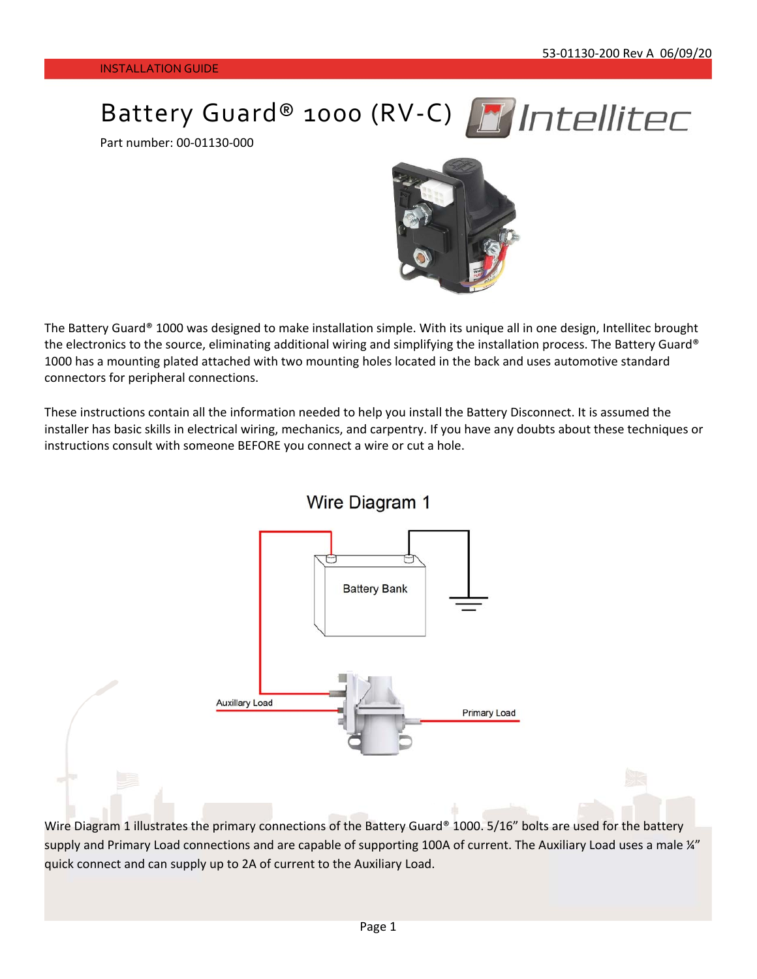Battery Guard® 1000 (RV-C) MIntellitec

Part number: 00‐01130‐000



The Battery Guard® 1000 was designed to make installation simple. With its unique all in one design, Intellitec brought the electronics to the source, eliminating additional wiring and simplifying the installation process. The Battery Guard® 1000 has a mounting plated attached with two mounting holes located in the back and uses automotive standard connectors for peripheral connections.

These instructions contain all the information needed to help you install the Battery Disconnect. It is assumed the installer has basic skills in electrical wiring, mechanics, and carpentry. If you have any doubts about these techniques or instructions consult with someone BEFORE you connect a wire or cut a hole.



Wire Diagram 1 illustrates the primary connections of the Battery Guard® 1000. 5/16" bolts are used for the battery supply and Primary Load connections and are capable of supporting 100A of current. The Auxiliary Load uses a male ¼" quick connect and can supply up to 2A of current to the Auxiliary Load.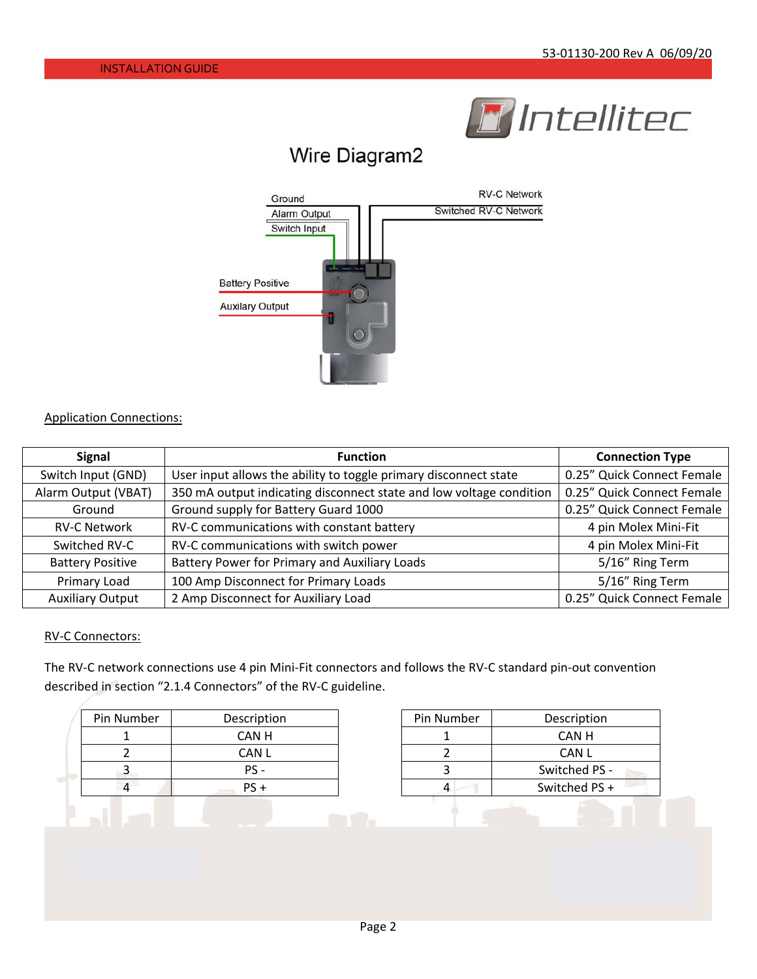

# Wire Diagram2



#### Application Connections:

| <b>Signal</b>           | <b>Function</b>                                                     | <b>Connection Type</b>     |
|-------------------------|---------------------------------------------------------------------|----------------------------|
| Switch Input (GND)      | User input allows the ability to toggle primary disconnect state    | 0.25" Quick Connect Female |
| Alarm Output (VBAT)     | 350 mA output indicating disconnect state and low voltage condition | 0.25" Quick Connect Female |
| Ground                  | Ground supply for Battery Guard 1000                                | 0.25" Quick Connect Female |
| <b>RV-C Network</b>     | RV-C communications with constant battery                           | 4 pin Molex Mini-Fit       |
| Switched RV-C           | RV-C communications with switch power                               | 4 pin Molex Mini-Fit       |
| <b>Battery Positive</b> | Battery Power for Primary and Auxiliary Loads                       | 5/16" Ring Term            |
| Primary Load            | 100 Amp Disconnect for Primary Loads                                | 5/16" Ring Term            |
| <b>Auxiliary Output</b> | 2 Amp Disconnect for Auxiliary Load                                 | 0.25" Quick Connect Female |

#### RV‐C Connectors:

The RV‐C network connections use 4 pin Mini‐Fit connectors and follows the RV‐C standard pin‐out convention described in section "2.1.4 Connectors" of the RV‐C guideline.

| Pin Number | Description |
|------------|-------------|
|            | CAN H       |
|            | CAN L       |
|            | PS -        |
|            | $PS +$      |

| Pin Number | Description   |
|------------|---------------|
|            | CAN H         |
|            | CAN L         |
|            | Switched PS - |
|            | Switched PS + |
|            |               |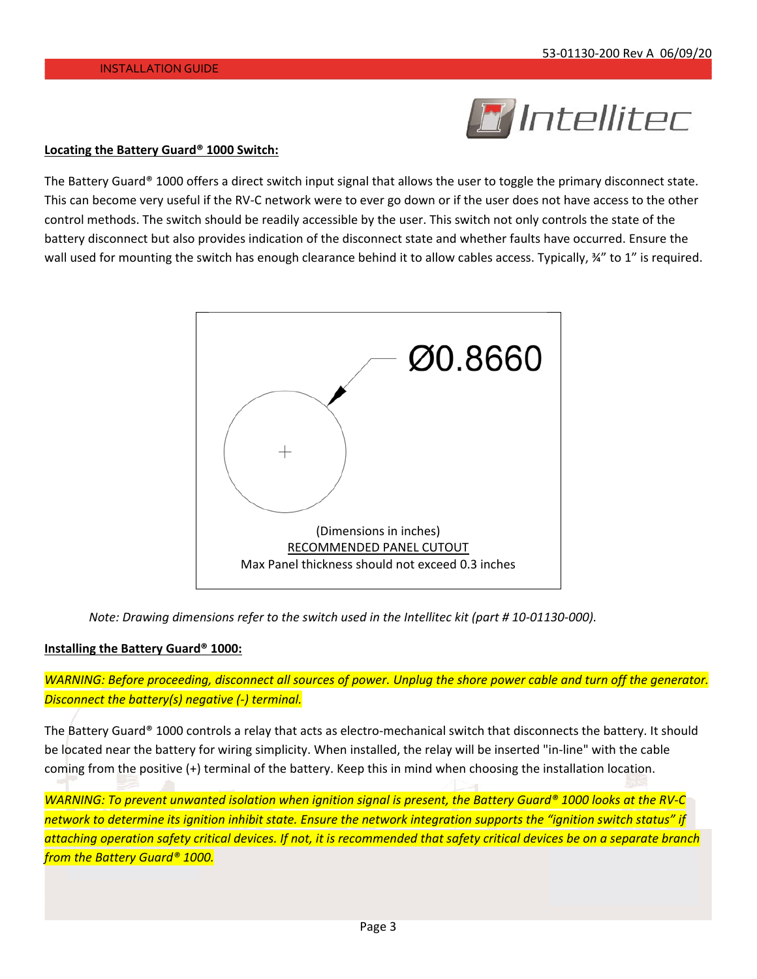

#### **Locating the Battery Guard® 1000 Switch:**

The Battery Guard® 1000 offers a direct switch input signal that allows the user to toggle the primary disconnect state. This can become very useful if the RV-C network were to ever go down or if the user does not have access to the other control methods. The switch should be readily accessible by the user. This switch not only controls the state of the battery disconnect but also provides indication of the disconnect state and whether faults have occurred. Ensure the wall used for mounting the switch has enough clearance behind it to allow cables access. Typically, 34" to 1" is required.



*Note: Drawing dimensions refer to the switch used in the Intellitec kit (part # 10‐01130‐000).* 

#### **Installing the Battery Guard® 1000:**

*WARNING: Before proceeding, disconnect all sources of power. Unplug the shore power cable and turn off the generator. Disconnect the battery(s) negative (‐) terminal.* 

The Battery Guard® 1000 controls a relay that acts as electro-mechanical switch that disconnects the battery. It should be located near the battery for wiring simplicity. When installed, the relay will be inserted "in‐line" with the cable coming from the positive (+) terminal of the battery. Keep this in mind when choosing the installation location.

*WARNING: To prevent unwanted isolation when ignition signal is present, the Battery Guard® 1000 looks at the RV‐C network to determine its ignition inhibit state. Ensure the network integration supports the "ignition switch status" if attaching operation safety critical devices. If not, it is recommended that safety critical devices be on a separate branch from the Battery Guard® 1000.*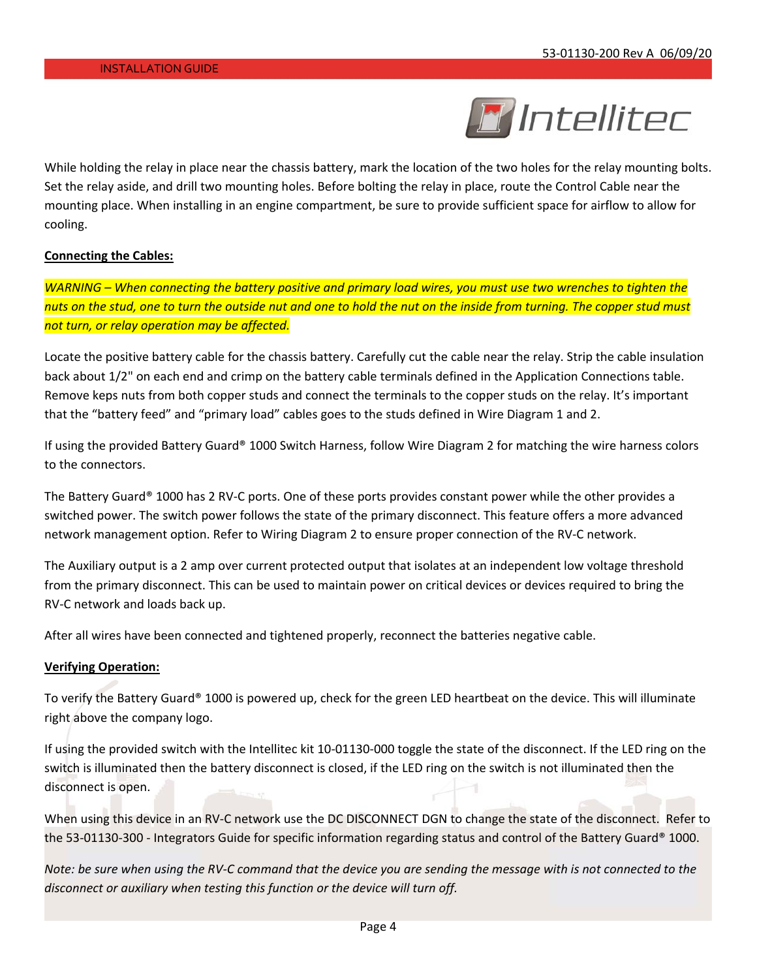

While holding the relay in place near the chassis battery, mark the location of the two holes for the relay mounting bolts. Set the relay aside, and drill two mounting holes. Before bolting the relay in place, route the Control Cable near the mounting place. When installing in an engine compartment, be sure to provide sufficient space for airflow to allow for cooling.

#### **Connecting the Cables:**

*WARNING – When connecting the battery positive and primary load wires, you must use two wrenches to tighten the nuts on the stud, one to turn the outside nut and one to hold the nut on the inside from turning. The copper stud must not turn, or relay operation may be affected.* 

Locate the positive battery cable for the chassis battery. Carefully cut the cable near the relay. Strip the cable insulation back about 1/2" on each end and crimp on the battery cable terminals defined in the Application Connections table. Remove keps nuts from both copper studs and connect the terminals to the copper studs on the relay. It's important that the "battery feed" and "primary load" cables goes to the studs defined in Wire Diagram 1 and 2.

If using the provided Battery Guard® 1000 Switch Harness, follow Wire Diagram 2 for matching the wire harness colors to the connectors.

The Battery Guard® 1000 has 2 RV‐C ports. One of these ports provides constant power while the other provides a switched power. The switch power follows the state of the primary disconnect. This feature offers a more advanced network management option. Refer to Wiring Diagram 2 to ensure proper connection of the RV‐C network.

The Auxiliary output is a 2 amp over current protected output that isolates at an independent low voltage threshold from the primary disconnect. This can be used to maintain power on critical devices or devices required to bring the RV‐C network and loads back up.

After all wires have been connected and tightened properly, reconnect the batteries negative cable.

#### **Verifying Operation:**

To verify the Battery Guard® 1000 is powered up, check for the green LED heartbeat on the device. This will illuminate right above the company logo.

If using the provided switch with the Intellitec kit 10-01130-000 toggle the state of the disconnect. If the LED ring on the switch is illuminated then the battery disconnect is closed, if the LED ring on the switch is not illuminated then the disconnect is open.

When using this device in an RV-C network use the DC DISCONNECT DGN to change the state of the disconnect. Refer to the 53-01130-300 - Integrators Guide for specific information regarding status and control of the Battery Guard® 1000.

*Note: be sure when using the RV‐C command that the device you are sending the message with is not connected to the disconnect or auxiliary when testing this function or the device will turn off.*